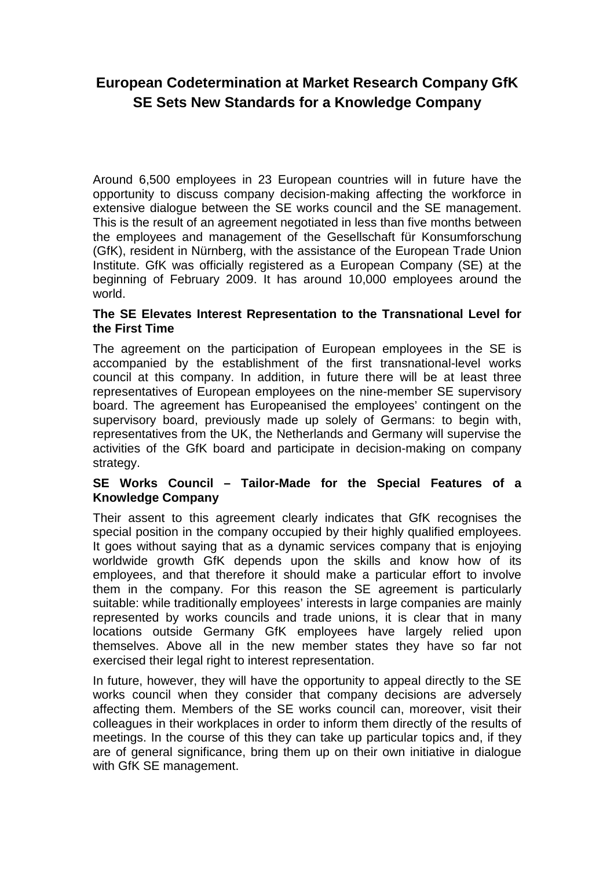# **European Codetermination at Market Research Company GfK SE Sets New Standards for a Knowledge Company**

Around 6,500 employees in 23 European countries will in future have the opportunity to discuss company decision-making affecting the workforce in extensive dialogue between the SE works council and the SE management. This is the result of an agreement negotiated in less than five months between the employees and management of the Gesellschaft für Konsumforschung (GfK), resident in Nürnberg, with the assistance of the European Trade Union Institute. GfK was officially registered as a European Company (SE) at the beginning of February 2009. It has around 10,000 employees around the world.

## **The SE Elevates Interest Representation to the Transnational Level for the First Time**

The agreement on the participation of European employees in the SE is accompanied by the establishment of the first transnational-level works council at this company. In addition, in future there will be at least three representatives of European employees on the nine-member SE supervisory board. The agreement has Europeanised the employees' contingent on the supervisory board, previously made up solely of Germans: to begin with, representatives from the UK, the Netherlands and Germany will supervise the activities of the GfK board and participate in decision-making on company strategy.

## **SE Works Council – Tailor-Made for the Special Features of a Knowledge Company**

Their assent to this agreement clearly indicates that GfK recognises the special position in the company occupied by their highly qualified employees. It goes without saying that as a dynamic services company that is enjoying worldwide growth GfK depends upon the skills and know how of its employees, and that therefore it should make a particular effort to involve them in the company. For this reason the SE agreement is particularly suitable: while traditionally employees' interests in large companies are mainly represented by works councils and trade unions, it is clear that in many locations outside Germany GfK employees have largely relied upon themselves. Above all in the new member states they have so far not exercised their legal right to interest representation.

In future, however, they will have the opportunity to appeal directly to the SE works council when they consider that company decisions are adversely affecting them. Members of the SE works council can, moreover, visit their colleagues in their workplaces in order to inform them directly of the results of meetings. In the course of this they can take up particular topics and, if they are of general significance, bring them up on their own initiative in dialogue with GfK SE management.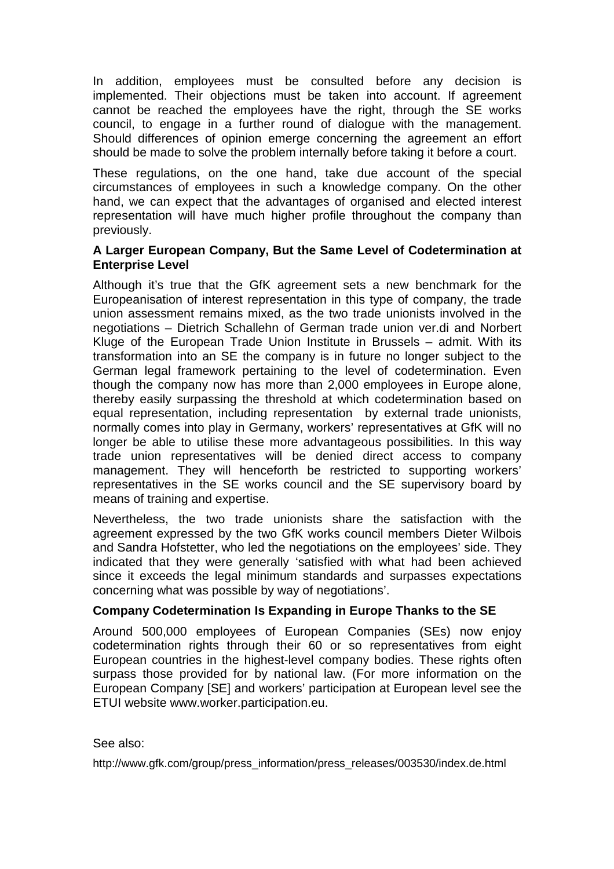In addition, employees must be consulted before any decision is implemented. Their objections must be taken into account. If agreement cannot be reached the employees have the right, through the SE works council, to engage in a further round of dialogue with the management. Should differences of opinion emerge concerning the agreement an effort should be made to solve the problem internally before taking it before a court.

These regulations, on the one hand, take due account of the special circumstances of employees in such a knowledge company. On the other hand, we can expect that the advantages of organised and elected interest representation will have much higher profile throughout the company than previously.

### **A Larger European Company, But the Same Level of Codetermination at Enterprise Level**

Although it's true that the GfK agreement sets a new benchmark for the Europeanisation of interest representation in this type of company, the trade union assessment remains mixed, as the two trade unionists involved in the negotiations – Dietrich Schallehn of German trade union ver.di and Norbert Kluge of the European Trade Union Institute in Brussels – admit. With its transformation into an SE the company is in future no longer subject to the German legal framework pertaining to the level of codetermination. Even though the company now has more than 2,000 employees in Europe alone, thereby easily surpassing the threshold at which codetermination based on equal representation, including representation by external trade unionists, normally comes into play in Germany, workers' representatives at GfK will no longer be able to utilise these more advantageous possibilities. In this way trade union representatives will be denied direct access to company management. They will henceforth be restricted to supporting workers' representatives in the SE works council and the SE supervisory board by means of training and expertise.

Nevertheless, the two trade unionists share the satisfaction with the agreement expressed by the two GfK works council members Dieter Wilbois and Sandra Hofstetter, who led the negotiations on the employees' side. They indicated that they were generally 'satisfied with what had been achieved since it exceeds the legal minimum standards and surpasses expectations concerning what was possible by way of negotiations'.

## **Company Codetermination Is Expanding in Europe Thanks to the SE**

Around 500,000 employees of European Companies (SEs) now enjoy codetermination rights through their 60 or so representatives from eight European countries in the highest-level company bodies. These rights often surpass those provided for by national law. (For more information on the European Company [SE] and workers' participation at European level see the ETUI website www.worker.participation.eu.

#### See also:

http://www.gfk.com/group/press\_information/press\_releases/003530/index.de.html